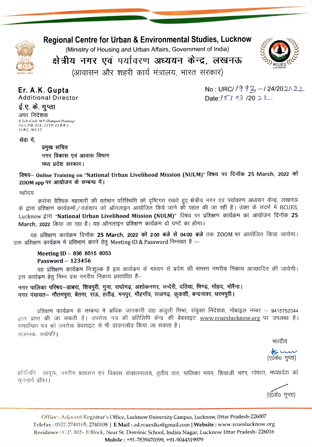## Regional Centre for Urban & Environmental Studies, Lucknow

(Ministry of Housing and Urban Affairs, Government of India)



 $No: URC/1993 - 124/2021 - 22$ 

Date: $/5793/2022$ 

क्षेत्रीय नगर एवं पर्यावरण अध्ययन केन्द्र, लखनऊ

(आवासन और शहरी कार्य मंत्रालय, भारत सरकार)

## Er. A.K. Gupta Additional Director

ई.ए. के. गुप्ता

अपर निदेशक B. Tech (Civil), M.P (Transport Planning) P.G.C.P.M., F.I.E., F.I.T.P., F.I.W.W.A., FLWE.. M.U.I.T

सेवा में.

प्रमुख सचिव नगर विकास एवं आवास विभाग

मध्य प्रदेश सरकार।<br>विषय— Online Training on "National Urban Livelihood Mission (NULM)" विषय पर दिनॉक 25 March, 2022 को ZOOM app पर आयोजन के सम्बन्ध में।

महोदय

करोना वैश्विक महामारी की वर्तमान परिस्थिति को दृष्टिगत रखते हुए क्षेत्रीय नगर एवं पर्यावरण अध्ययन केन्द्र, लखनऊ<br>के द्वारा प्रशिक्षण कार्यक्रमों/वर्कशाप को ऑनलाइन आयोजित किये जाने की पहल की जा रही है। उक्त के संदर्भ में RC Lucknow द्वारा "National Urban Livelihood Mission (NULM)" विषय पर प्रशिक्षण कार्यक्रम का आयोजन दिनॉक 25 March, 2022 किया जा रहा है। यह ऑनलाइन प्रशिक्षण कार्यक्रम दो घण्टे का होगा।

यह प्रशिक्षण कार्यक्रम दिनॉक 25 March, 2022 को 2:00 बजे से 04:00 बजे तक ZOOM पर आयोजित किया जायेगा। उक्त प्रशिक्षण कार्यक्रम में प्रतिभाग करने हेतू Meeting ID & Password निम्नवत है):—

Meeting ID - 836 8515 8053 Password - 123456

यह प्रशिक्षण कार्यक्रम निःशुल्क है इस कार्यक्रम के माध्यम से प्रदेश की समस्त नगरीय निकाय आच्छादित की जायेगी। इस कार्यक्रम हेतू निम्न दस नगरीय निकाय प्रस्तावित हैं-

नगर पालिका परिषद–डाबरा, शिवपुरी, गुना, राघोगढ़, अशोकनगर, चन्देरी, दतिया, भिण्ड, गोहद, मोरैना। नगर पंचायत- गौतमपुरा, बेतमा, राऊ, हतौड़, मनपुर, मौहगॉव, राजगढ़, कुकशी, बन्दनावर, धरमपुरी।

प्रशिक्षण कार्यक्रम के सम्बन्ध में अधिक जानकारी डा0 अंजुली मिश्रा, संयुक्त निदेशक, मोबाइल नम्बर – 9415752044 द्वारा प्राप्त की जा सकती हैं। उपरोक्त पत्र की प्रतिलिपि केन्द्र की बेबसाइट www.rcueslucknow.org पर उपलब्ध है। समवन्धित पत्र को उपरोक्त वेबसाइट से भी डाउनलोड किया जा सकता है। संलग्नकः यथोपरि।

भवदीय

معب ج<del>∦</del><br>(ए०के० गुप्ता)

प्रतिलिपि— आयुक्त, नगरीय प्रशासन एवं विकास संचालनालय, तृतीय तल, पालिका भवन, शिवाजी नगर, भोपाल, मध्यप्रदेश को सूचनार्थ प्रेषित।

(ए०के० गुप्ता)

Office: Adjacent Registrar's Office, Lucknow University Campus, Lucknow, Uttar Pradesh-226007 Telefax: 0522-2740165, 2740108 | E Mail: ad.rcueslko@gmail.com | Website: www.rcueslucknow.org Residence : C.P. 102- B Block, Near St. Dominic School, Indira Nagar, Lucknow Uttar Pradesh- 226016 Mobile: +91-7839470399, +91-9044319979